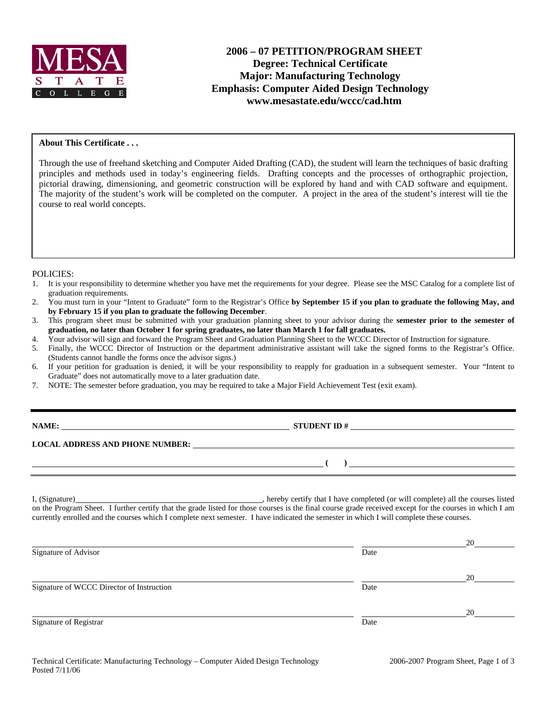

#### **About This Certificate . . .**

Through the use of freehand sketching and Computer Aided Drafting (CAD), the student will learn the techniques of basic drafting principles and methods used in today's engineering fields. Drafting concepts and the processes of orthographic projection, pictorial drawing, dimensioning, and geometric construction will be explored by hand and with CAD software and equipment. The majority of the student's work will be completed on the computer. A project in the area of the student's interest will tie the course to real world concepts.

#### POLICIES:

- 1. It is your responsibility to determine whether you have met the requirements for your degree. Please see the MSC Catalog for a complete list of graduation requirements.
- 2. You must turn in your "Intent to Graduate" form to the Registrar's Office **by September 15 if you plan to graduate the following May, and by February 15 if you plan to graduate the following December**.
- 3. This program sheet must be submitted with your graduation planning sheet to your advisor during the **semester prior to the semester of graduation, no later than October 1 for spring graduates, no later than March 1 for fall graduates.**
- 4. Your advisor will sign and forward the Program Sheet and Graduation Planning Sheet to the WCCC Director of Instruction for signature.
- 5. Finally, the WCCC Director of Instruction or the department administrative assistant will take the signed forms to the Registrar's Office. (Students cannot handle the forms once the advisor signs.)
- 6. If your petition for graduation is denied, it will be your responsibility to reapply for graduation in a subsequent semester. Your "Intent to Graduate" does not automatically move to a later graduation date.
- 7. NOTE: The semester before graduation, you may be required to take a Major Field Achievement Test (exit exam).

**NAMES IN STUDENT ID #** 

 **(** )

**LOCAL ADDRESS AND PHONE NUMBER:**

I, (Signature) , hereby certify that I have completed (or will complete) all the courses listed on the Program Sheet. I further certify that the grade listed for those courses is the final course grade received except for the courses in which I am currently enrolled and the courses which I complete next semester. I have indicated the semester in which I will complete these courses.

|                                           |      | 20 |
|-------------------------------------------|------|----|
| Signature of Advisor                      | Date |    |
|                                           |      | 20 |
| Signature of WCCC Director of Instruction | Date |    |
|                                           |      | 20 |
| Signature of Registrar                    | Date |    |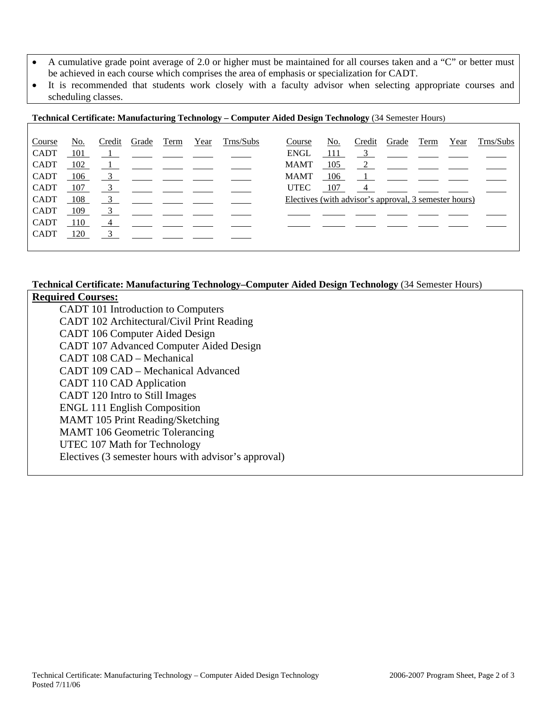- A cumulative grade point average of 2.0 or higher must be maintained for all courses taken and a "C" or better must be achieved in each course which comprises the area of emphasis or specialization for CADT.
- It is recommended that students work closely with a faculty advisor when selecting appropriate courses and scheduling classes.

**Technical Certificate: Manufacturing Technology – Computer Aided Design Technology** (34 Semester Hours)

| Course      | No.   | Credit | Grade Term                                                                                                                                                                                                                                                                                                          | Year | Trns/Subs                                                                                                                                                                                                                                                                                                           | Course                                                | No.   | Credit | Grade                                                    | Term | Year | Trns/Subs                                                                           |
|-------------|-------|--------|---------------------------------------------------------------------------------------------------------------------------------------------------------------------------------------------------------------------------------------------------------------------------------------------------------------------|------|---------------------------------------------------------------------------------------------------------------------------------------------------------------------------------------------------------------------------------------------------------------------------------------------------------------------|-------------------------------------------------------|-------|--------|----------------------------------------------------------|------|------|-------------------------------------------------------------------------------------|
| <b>CADT</b> | 101   |        |                                                                                                                                                                                                                                                                                                                     |      | <u>in the same same same same</u>                                                                                                                                                                                                                                                                                   | <b>ENGL</b>                                           | - 111 |        |                                                          |      |      | $\frac{3}{2}$ $\frac{1}{2}$ $\frac{1}{2}$ $\frac{1}{2}$ $\frac{1}{2}$               |
| <b>CADT</b> | 102   |        |                                                                                                                                                                                                                                                                                                                     |      |                                                                                                                                                                                                                                                                                                                     | MAMT                                                  | 105   |        |                                                          |      |      | $\frac{2}{\sqrt{2}}$ $\frac{2}{\sqrt{2}}$ $\frac{2}{\sqrt{2}}$ $\frac{2}{\sqrt{2}}$ |
| <b>CADT</b> | 106   |        | $\frac{3}{2}$ $\frac{1}{2}$ $\frac{1}{2}$ $\frac{1}{2}$ $\frac{1}{2}$                                                                                                                                                                                                                                               |      |                                                                                                                                                                                                                                                                                                                     | MAMT                                                  | - 106 |        | <u>In the set of the set of <math>\frac{1}{2}</math></u> |      |      |                                                                                     |
| <b>CADT</b> | 107   |        |                                                                                                                                                                                                                                                                                                                     |      | $\frac{3}{2}$ $\frac{1}{2}$ $\frac{1}{2}$ $\frac{1}{2}$ $\frac{1}{2}$ $\frac{1}{2}$ $\frac{1}{2}$ $\frac{1}{2}$ $\frac{1}{2}$ $\frac{1}{2}$ $\frac{1}{2}$ $\frac{1}{2}$ $\frac{1}{2}$ $\frac{1}{2}$ $\frac{1}{2}$ $\frac{1}{2}$ $\frac{1}{2}$ $\frac{1}{2}$ $\frac{1}{2}$ $\frac{1}{2}$ $\frac{1}{2}$ $\frac{1}{2}$ | <b>UTEC</b>                                           | 107   |        |                                                          |      |      | $\overline{4}$                                                                      |
| <b>CADT</b> | 108   |        | $\frac{3}{2}$ $\frac{1}{2}$ $\frac{1}{2}$ $\frac{1}{2}$ $\frac{1}{2}$ $\frac{1}{2}$                                                                                                                                                                                                                                 |      |                                                                                                                                                                                                                                                                                                                     | Electives (with advisor's approval, 3 semester hours) |       |        |                                                          |      |      |                                                                                     |
| <b>CADT</b> | 109   |        | $\frac{3}{2}$ $\frac{1}{2}$ $\frac{1}{2}$ $\frac{1}{2}$ $\frac{1}{2}$                                                                                                                                                                                                                                               |      |                                                                                                                                                                                                                                                                                                                     |                                                       |       |        |                                                          |      |      |                                                                                     |
| <b>CADT</b> | - 110 |        |                                                                                                                                                                                                                                                                                                                     |      |                                                                                                                                                                                                                                                                                                                     |                                                       |       |        |                                                          |      |      |                                                                                     |
| <b>CADT</b> | 120   |        | $\frac{3}{2}$ $\frac{1}{2}$ $\frac{1}{2}$ $\frac{1}{2}$ $\frac{1}{2}$ $\frac{1}{2}$ $\frac{1}{2}$ $\frac{1}{2}$ $\frac{1}{2}$ $\frac{1}{2}$ $\frac{1}{2}$ $\frac{1}{2}$ $\frac{1}{2}$ $\frac{1}{2}$ $\frac{1}{2}$ $\frac{1}{2}$ $\frac{1}{2}$ $\frac{1}{2}$ $\frac{1}{2}$ $\frac{1}{2}$ $\frac{1}{2}$ $\frac{1}{2}$ |      |                                                                                                                                                                                                                                                                                                                     |                                                       |       |        |                                                          |      |      |                                                                                     |
|             |       |        |                                                                                                                                                                                                                                                                                                                     |      |                                                                                                                                                                                                                                                                                                                     |                                                       |       |        |                                                          |      |      |                                                                                     |

## **Technical Certificate: Manufacturing Technology–Computer Aided Design Technology** (34 Semester Hours)

### **Required Courses:**

 CADT 101 Introduction to Computers CADT 102 Architectural/Civil Print Reading CADT 106 Computer Aided Design CADT 107 Advanced Computer Aided Design CADT 108 CAD – Mechanical CADT 109 CAD – Mechanical Advanced CADT 110 CAD Application CADT 120 Intro to Still Images ENGL 111 English Composition MAMT 105 Print Reading/Sketching MAMT 106 Geometric Tolerancing UTEC 107 Math for Technology Electives (3 semester hours with advisor's approval)